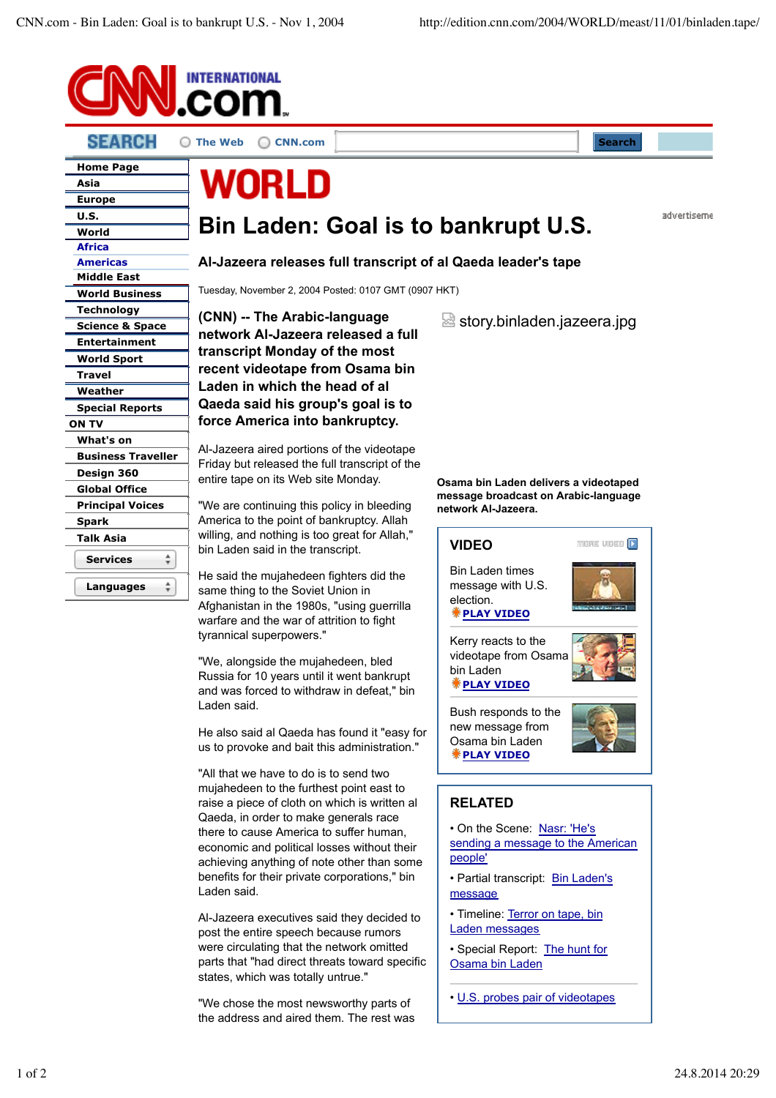